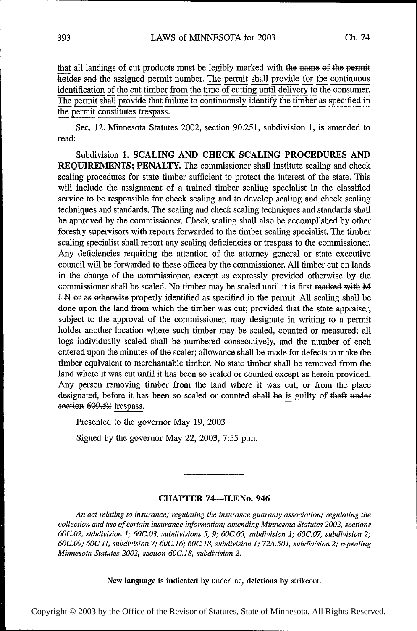that all landings of cut products must be legibly marked with the name of the permit holder and the assigned permit number. The permit shall provide for the continuous identification of the cut timber from the time of cutting until delivery to the consumer. The permit shall provide that failure to continuously identify the timber as specified in the permit constitutes trespass.

Sec. 12. Minnesota Statutes 2002, section 90.251, subdivision 1, is amended to read:

Subdivision 1. SCALING AND CHECK SCALING PROCEDURES AND REQUIREMENTS; PENALTY. The commissioner shall institute scaling and check scaling procedures for state timber sufficient to protect the interest of the state. This will include the assignment of a trained timber scaling specialist in the classified service to be responsible for check scaling and to develop scaling and check scaling techniques and standards. The scaling and check scaling techniques and standards shall be approved by the commissioner. Check scaling shall also be accomplished by other forestry supervisors with reports forwarded to the timber scaling specialist. The timber scaling specialist shall report any scaling deficiencies or trespass to the commissioner. Any deficiencies requiring the attention of the attorney general or state executive council will be forwarded to these ofiices by the commissioner. All timber cut on lands in the charge of the commissioner, except as expressly provided otherwise by the commissioner shall be scaled. No timber may be scaled until it is first marked with M <sup>I</sup>N or as otherwise properly identified as specified in the permit. All scaling shall be done upon the land from which the timber was cut; provided that the state appraiser, subject to the approval of the commissioner, may designate in writing to a permit holder another location where such timber may be scaled, counted or measured; all logs individually scaled shall be numbered consecutively, and the number of each entered upon the minutes of the scaler; allowance shall be made for defects to make the timber equivalent to merchantable timber. No state timber shall be removed from the land where it was cut until it has been so scaled or counted except as herein provided. Any person removing timber from the land where it was cut, or from the place designated, before it has been so scaled or counted shall be is guilty of the t under section 609.52 trespass.

Presented to the governor May 19, 2003

Signed by the governor May 22, 2003, 7:55 p.m.

### CHAPTER 74—H.F.N0. 946

An act relating to insurance; regulating the insurance guaranty association; regulating the collection and use of certain insurance information; amending Minnesota Statutes 2002, sections 60C.02, subdivision 1; 60C.03, subdivisions 5, 9; 60C.05, subdivision 1; 60C.07, subdivision 2; 60C.09; 60C.11, subdivision 7; 60C.16; 60C.18, subdivision 1; 72A.501, subdivision 2; repealing Minnesota Statutes 2002, section 60C.18, subdivision 2.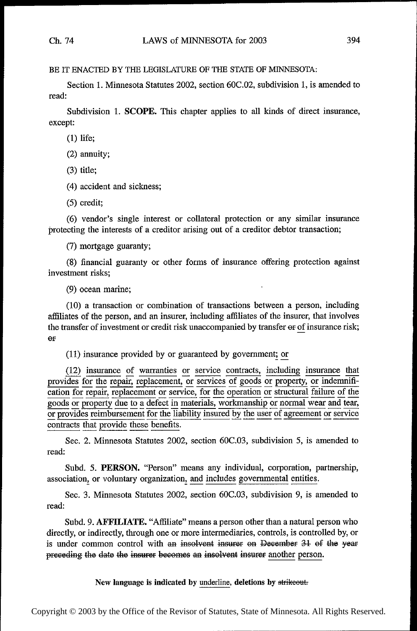~

~~

~~~

~ ~

~~

~~~

【

~~

~~

~~

~

~~ ~ ~ ~ ~

~~~

■

∙

~~  $\mathsf{L}$ 

 $\mathbf{r}$ 

BE IT ENACTED BY THE LEGISLATURE OF THE STATE OF MINNESOTA:

Section 1. Minnesota Statutes 2002, section 6OC.02, subdivision 1, is amended to read:

Subdivision 1. SCOPE. This chapter applies to all kinds of direct insurance, except:

(1) life;

(2) annuity;

(3) title;

(4) accident and sickness;

(5) credit;

(6) vendor's single interest or collateral protection or any similar insurance protecting the interests of a creditor arising out of a creditor debtor transaction;

(7) mortgage guaranty;

(8) financial guaranty or other forms of insurance ofiering protection against investment risks;

(9) ocean marine;

(10) a transaction or combination of transactions between a person, including affiliates of the person, and an insurer, including affiliates of the insurer, that involves the transfer of investment or credit risk unaccompanied by transfer or of insurance risk; or

 $(11)$  insurance provided by or guaranteed by government; or

(12) insurance of warranties or service contracts, including insurance that provides for the repair, replacement, or services of goods or property, or indemnification for repair, replacement or service, for the operation or structural Tailure of the goods or property due to a defect in materials, workmanship or normal wear and tear, or provides reimbursement for the liability insured by the user of agreement or service contracts that provide these benefits.

Sec. 2. Minnesota Statutes 2002, section 60C.03, subdivision 5, is amended to read:

Subd. 5. PERSON. "Person" means any individual, corporation, partnership, association, or voluntary organization, and includes governmental entities.

Sec. 3. Minnesota Statutes 2002, section 60C.03, subdivision 9, is amended to read:

Subd. 9. AFFILIATE. "Afliliate" means a person other than a natural person who directly, or indirectly, through one or more intermediaries, controls, is controlled by, or is under common control with an insolvent insurer on December 31 of the year preceding the date the insurer becomes an insolvent insurer another person.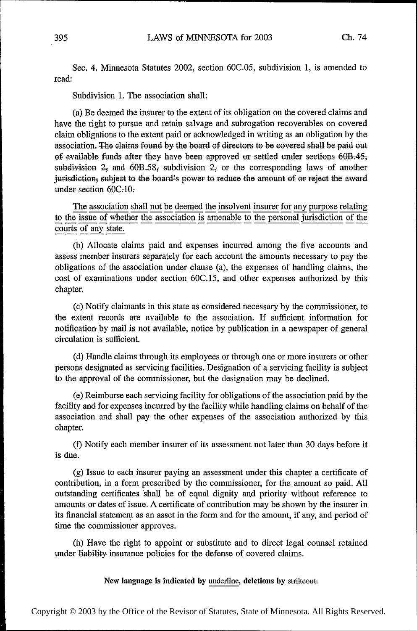Sec. 4. Minnesota Statutes 2002, section 60C.05, subdivision 1, is amended to read:

Subdivision 1. The association shall:

(a) Be deemed the insurer to the extent of its obligation on the covered claims and have the right to pursue and retain salvage and subrogation recoverables on covered claim obligations to the extent paid or acknowledged in writing as an obligation by the association. The elaims found by the board of directors to be covered shall be paid out of available funds after they have been approved or settled under sections  $60B.45$ ; subdivision  $2$ , and 60B.58, subdivision  $2$ , or the corresponding laws of another jurisdiction, subject to the board's power to reduce the amount of or reject the award under section 696.40:

The association shall not be deemed the insolvent insurer for any purpose relating to the issue of whether the association is amenable to the personal jurisdiction of the courts of any state.

(b) Allocate claims paid and expenses incurred among the five accounts and assess member insurers separately for each account the amounts necessary to pay the obligations of the association under clause (a), the expenses of handling claims, the cost of examinations under section 60C.15, and other expenses authorized by this chapter.

(c) Notify claimants in this state as considered necessary by the commissioner, to the extent records are available to the association. If suflicient information for notification by mail is not available, notice by publication in a newspaper of general circulation is suflicient.

(d) Handle claims through its employees or through one or more insurers or other persons designated as servicing facilities. Designation of a servicing facility is subject to the approval of the commissioner, but the designation may be declined.

(e) Reimburse each servicing facility for obligations of the association paid by the facility and for expenses incurred by the facility while handling claims on behalf of the association and shall pay the other expenses of the association authorized by this chapter.

(f) Notify each member insurer of its assessment not later than 30 days before it is due.

(g) Issue to each insurer paying an assessment under this chapter a certificate of contribution, in a form prescribed by the commissioner, for the amount so paid. All outstanding certificates "shall be of equal dignity and priority without reference to amounts or dates of issue. A certificate of contribution may be shown by the insurer in its financial statement as an asset in the form and for the amount, if any, and period of time the commissioner approves.

(h) Have the right to appoint or substitute and to direct legal counsel retained under liability insurance policies for the defense of covered claims.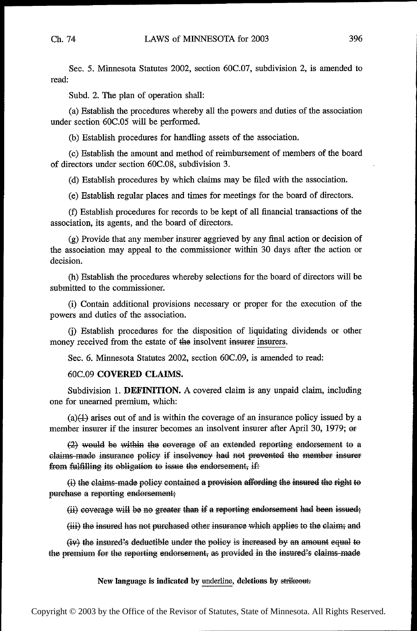Sec. 5. Minnesota Statutes 2002, section 60C.O7, subdivision 2, is amended to read:

Subd. 2. The plan of operation shall:

(a) Establish the procedures whereby all the powers and duties of the association under section 60C.05 will be performed.

(b) Establish procedures for handling assets of the association.

(c) Establish the amount and method of reimbursement of members of the board of directors under section 60C.08, subdivision 3.

(d) Establish procedures by which claims may be filed with the association.

(e) Establish regular places and times for meetings for the board of directors.

(f) Establish procedures for records to be kept of all financial transactions of the association, its agents, and the board of directors.

(g) Provide that any member insurer aggrieved by any final action or decision of the association may appeal to the commissioner within 30 days after the action or decision.

(h) Establish the procedures whereby selections for the board of directors will be submitted to the commissioner.

(i) Contain additional provisions necessary or proper for the execution of the powers and duties of the association.

(j) Establish procedures for the disposition of liquidating dividends or other money received from the estate of the insolvent insurer insurers.

Sec. 6. Minnesota Statutes 2002, section 60C.09, is amended to read:

## 60C.09 COVERED CLAIMS.

Subdivision 1. DEFINITION. A covered claim is any unpaid claim, including one for unearned premium, which:

 $(a)(\text{+})$  arises out of and is within the coverage of an insurance policy issued by a member insurer if the insurer becomes an insolvent insurer after April 30, 1979; or

 $(2)$  would be within the coverage of an extended reporting endorsement to a claims-made insurance policy if insolvency had not prevented the member insurer from fulfilling its obligation to issue the endorsement, if:

 $(i)$  the claims-made policy contained a provision affording the insured the right to purchase a reporting endorsement;

 $(i)$  coverage will be no greater than if a reporting endorsement had been issued;

(iii) the insured has not purchased other insurance which applies to the claim; and

 $(iv)$  the insured's deductible under the policy is increased by an amount equal to the premium for the reporting endorsement, as provided in the insured's claims-made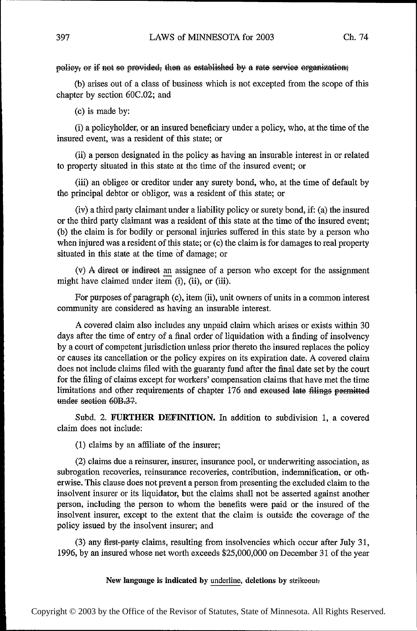policy, or if not so provided, then as established by a rate service organization;

(b) arises out of a class of business which is not excepted from the scope of this chapter by section 60C.02; and

(c) is made by:

(i) a policyholder, or an insured beneficiary under a policy, who, at the time of the insured event, was a resident of this state; or

(ii) a person designated in the policy as having an insurable interest in or related to property situated in this state at the time of the insured event; or

(iii) an obligee or creditor under any surety bond, who, at the time of default by the principal debtor or obligor, was a resident of this state; or

(iv) a third party claimant under a liability policy or surety bond, if: (a) the insured or the third party claimant was a resident of this state at the time of the insured event; (b) the claim is for bodily or personal injuries suffered in this state by a person who when injured was a resident of this state; or (c) the claim is for damages to real property situated in this state at the time of damage; or

(V) A direct er indirect an assignee of a person who except for the assignment might have claimed under item (i), (ii), or (iii).

For purposes of paragraph (c), item (ii), unit owners of units in a common interest community are considered as having an insurable interest.

A covered claim also includes any unpaid claim which arises or exists within <sup>30</sup> days after the time of entry of a final order of liquidation with a finding of insolvency by a court of competent jurisdiction unless prior thereto the insured replaces the policy or causes its cancellation or the policy expires on its expiration date. A covered claim does not include claims filed with the guaranty fund after the final date set by the court for the filing of claims except for workers' compensation claims that have met the time limitations and other requirements of chapter 176 and excused iate filings permitted under section 693.31.

Subd. 2. FURTHER DEFINITION. In addition to subdivision 1, a covered claim does not include:

(1) claims by an affiliate of the insurer;

(2) claims due a reinsurer, insurer, insurance pool, or underwriting association, as subrogation recoveries, reinsurance recoveries, contribution, indemnification, or otherwise. This clause does not prevent a person from presenting the excluded claim to the insolvent insurer or its liquidator, but the claims shall not be asserted against another person, including the person to whom the benefits were paid or the insured of the insolvent insurer, except to the extent that the claim is outside the coverage of the policy issued by the insolvent insurer; and

 $(3)$  any first-party claims, resulting from insolvencies which occur after July 31, 1996, by an insured whose net worth exceeds \$25,000,000 on' December 31 of the year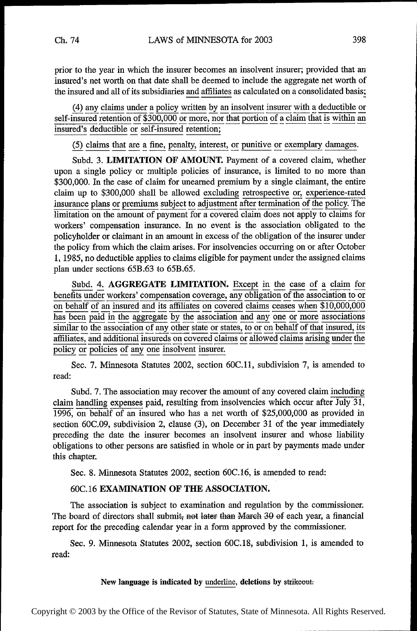~ ~~

~

~ ■ ~~ ■ ~ ~~ ~ ~ 【 ∎ ⊹ ∎ ⊹ ~ ~~

~

~

~

~~~

~ ~

~

 $\mathbf{r}$ 

~

prior to the year in which the insurer becomes an insolvent insurer; provided that an insured's net worth on that date shall be deemed to include the aggregate net worth of the insured and all of its subsidiaries and affiliates as calculated on a consolidated basis;

(4) any claims under a policy written by an insolvent insurer with a deductible or self-insured retention of  $$300,000$  or more, nor that portion of a claim that is within an insured's deductible or self-insured retention;

(5) claims that are a fine, penalty, interest, or punitive or exemplary damages.

Subd. 3. LIMITATION OF AMOUNT. Payment of a covered claim, whether upon a single policy or multiple policies of insurance, is limited to no more than \$300,000. In the case of claim for unearned premium by a single claimant, the entire claim up to \$300,000 shall be allowed excluding retrospective or, experience—rated insurance plans or premiums subject to adjustment after termination of the policy. The limitation on the amount of payment for a covered claim does not apply to claims for workers' compensation insurance. In no event is the association obligated to the policyholder or claimant in an amount in excess of the obligation of the insurer under the policy from which the claim arises. For insolvencies occurring on or after October 1, 1985, no deductible applies to claims eligible for payment under the assigned claims plan under sections 65B.63 to 65B.65.

Subd. 4. AGGREGATE LIMITATION. Except in the case of a claim for benefits under workers' compensation coverage, any obligation of the association to or on behalf of an insured and its affiliates on covered claims ceases when  $$10,000,000$ has been paid in the aggregate by the association and any one or more associations similar to the association of any other state or states, to or on behalf of that insured, its affiliates, and additional insureds on covered claims or allowed claims arising under the policy or policies of any one insolvent insurer.

Sec. 7. Minnesota Statutes 2002, section 60C.11, subdivision 7, is amended to read:

Subd. 7. The association may recover the amount of any covered claim including claim handling expenses paid, resulting from insolvencies which occur after July 31, 1996, on behalf of an insured who has a net worth of \$25,000,000 as provided in section 60C.09, subdivision 2, clause (3), on December 31 of the year immediately preceding the date the insurer becomes an insolvent insurer and whose liability obligations to other persons are satisfied in whole or in part by payments made under this chapter.

Sec. 8. Minnesota Statutes 2002, section 60C.16, is amended to read:

# <sup>~</sup>60C.16 EXAMINATION OF THE ASSOCIATION.

The association is subject to examination and regulation by the commissioner.<br>The board of directors shall submit; not later than March 30 of each year, a financial report for the preceding calendar year in a form approved by the commissioner.

Sec. 9. Minnesota Statutes 2002, section 60C.18, subdivision 1, is amended to read:

### New language is indicated by underline, deletions by strikeout.

Copyright © 2003 by the Office of the Revisor of Statutes, State of Minnesota. All Rights Reserved.